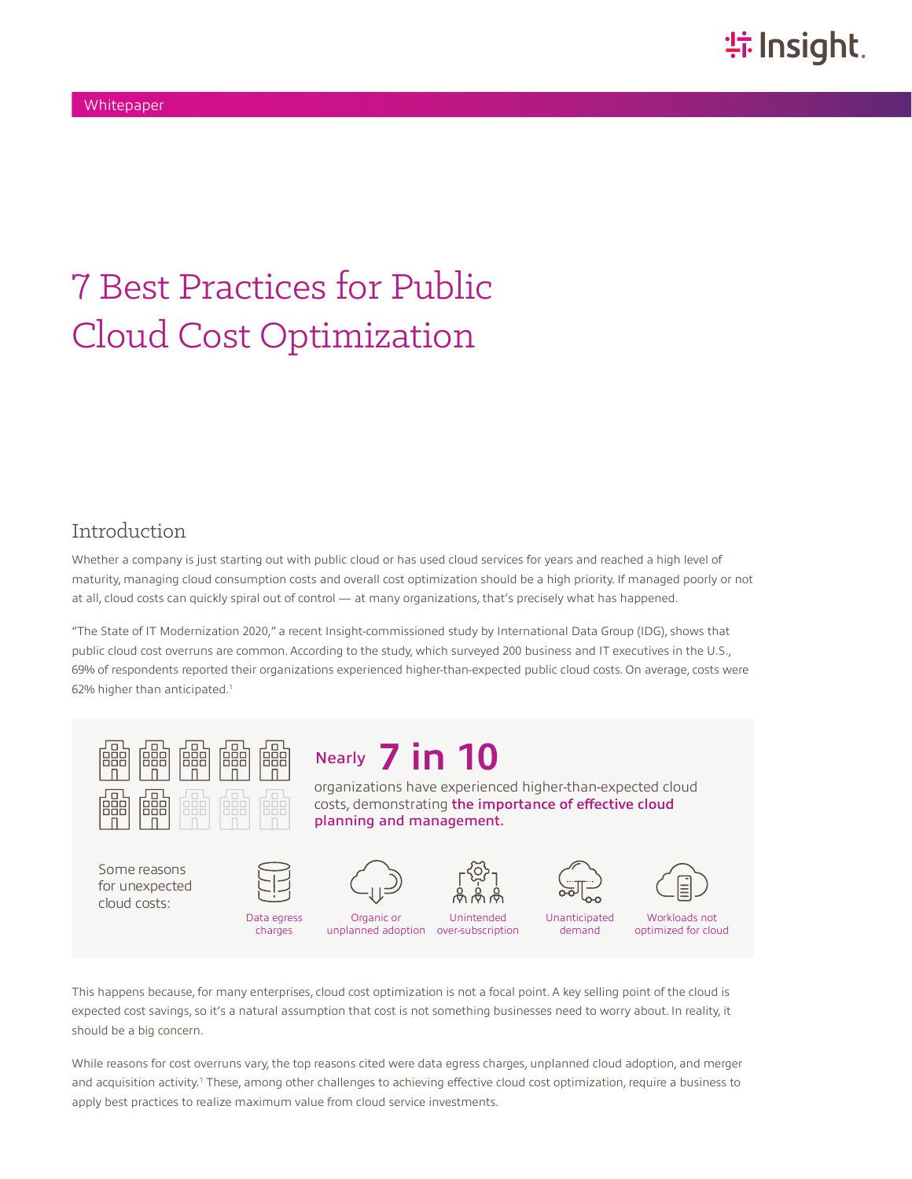# 7 Best Practices for Public Cloud Cost Optimization

## Introduction

Whether a company is just starting out with public cloud or has used cloud services for years and reached a high level of maturity, managing cloud consumption costs and overall cost optimization should be a high priority. If managed poorly or not at all, cloud costs can quickly spiral out of control — at many organizations, that's precisely what has happened.

"The State of IT Modernization 2020," a recent Insight-commissioned study by International Data Group (IDG), shows that public cloud cost overruns are common. According to the study, which surveyed 200 business and IT executives in the U.S., 69% of respondents reported their organizations experienced higher-than-expected public cloud costs. On average, costs were 62% higher than anticipated.1

planning and management.

Nearly **7 in 10**



Some reasons for unexpected cloud costs:



charges





organizations have experienced higher-than-expected cloud costs, demonstrating the importance of effective cloud

Unanticipated



demand

optimized for cloud

This happens because, for many enterprises, cloud cost optimization is not a focal point. A key selling point of the cloud is expected cost savings, so it's a natural assumption that cost is not something businesses need to worry about. In reality, it should be a big concern.

unplanned adoption over-subscription

While reasons for cost overruns vary, the top reasons cited were data egress charges, unplanned cloud adoption, and merger and acquisition activity.<sup>1</sup> These, among other challenges to achieving effective cloud cost optimization, require a business to apply best practices to realize maximum value from cloud service investments.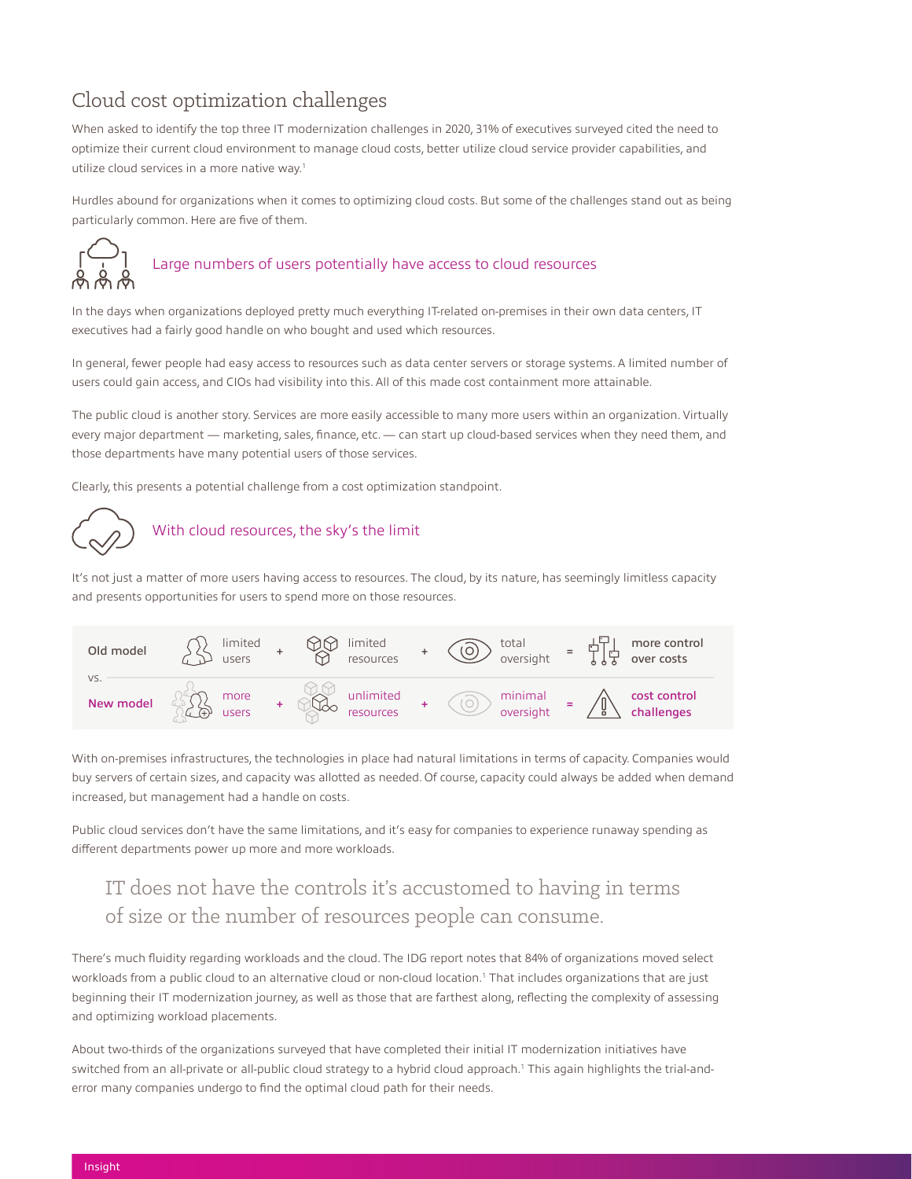# Cloud cost optimization challenges

When asked to identify the top three IT modernization challenges in 2020, 31% of executives surveyed cited the need to optimize their current cloud environment to manage cloud costs, better utilize cloud service provider capabilities, and utilize cloud services in a more native way.<sup>1</sup>

Hurdles abound for organizations when it comes to optimizing cloud costs. But some of the challenges stand out as being particularly common. Here are five of them.



### Large numbers of users potentially have access to cloud resources

In the days when organizations deployed pretty much everything IT-related on-premises in their own data centers, IT executives had a fairly good handle on who bought and used which resources.

In general, fewer people had easy access to resources such as data center servers or storage systems. A limited number of users could gain access, and CIOs had visibility into this. All of this made cost containment more attainable.

The public cloud is another story. Services are more easily accessible to many more users within an organization. Virtually every major department — marketing, sales, finance, etc. — can start up cloud-based services when they need them, and those departments have many potential users of those services.

Clearly, this presents a potential challenge from a cost optimization standpoint.



#### With cloud resources, the sky's the limit

It's not just a matter of more users having access to resources. The cloud, by its nature, has seemingly limitless capacity and presents opportunities for users to spend more on those resources.



With on-premises infrastructures, the technologies in place had natural limitations in terms of capacity. Companies would buy servers of certain sizes, and capacity was allotted as needed. Of course, capacity could always be added when demand increased, but management had a handle on costs.

Public cloud services don't have the same limitations, and it's easy for companies to experience runaway spending as different departments power up more and more workloads.

# IT does not have the controls it's accustomed to having in terms of size or the number of resources people can consume.

There's much fluidity regarding workloads and the cloud. The IDG report notes that 84% of organizations moved select workloads from a public cloud to an alternative cloud or non-cloud location.<sup>1</sup> That includes organizations that are just beginning their IT modernization journey, as well as those that are farthest along, reflecting the complexity of assessing and optimizing workload placements.

About two-thirds of the organizations surveyed that have completed their initial IT modernization initiatives have switched from an all-private or all-public cloud strategy to a hybrid cloud approach.<sup>1</sup> This again highlights the trial-anderror many companies undergo to find the optimal cloud path for their needs.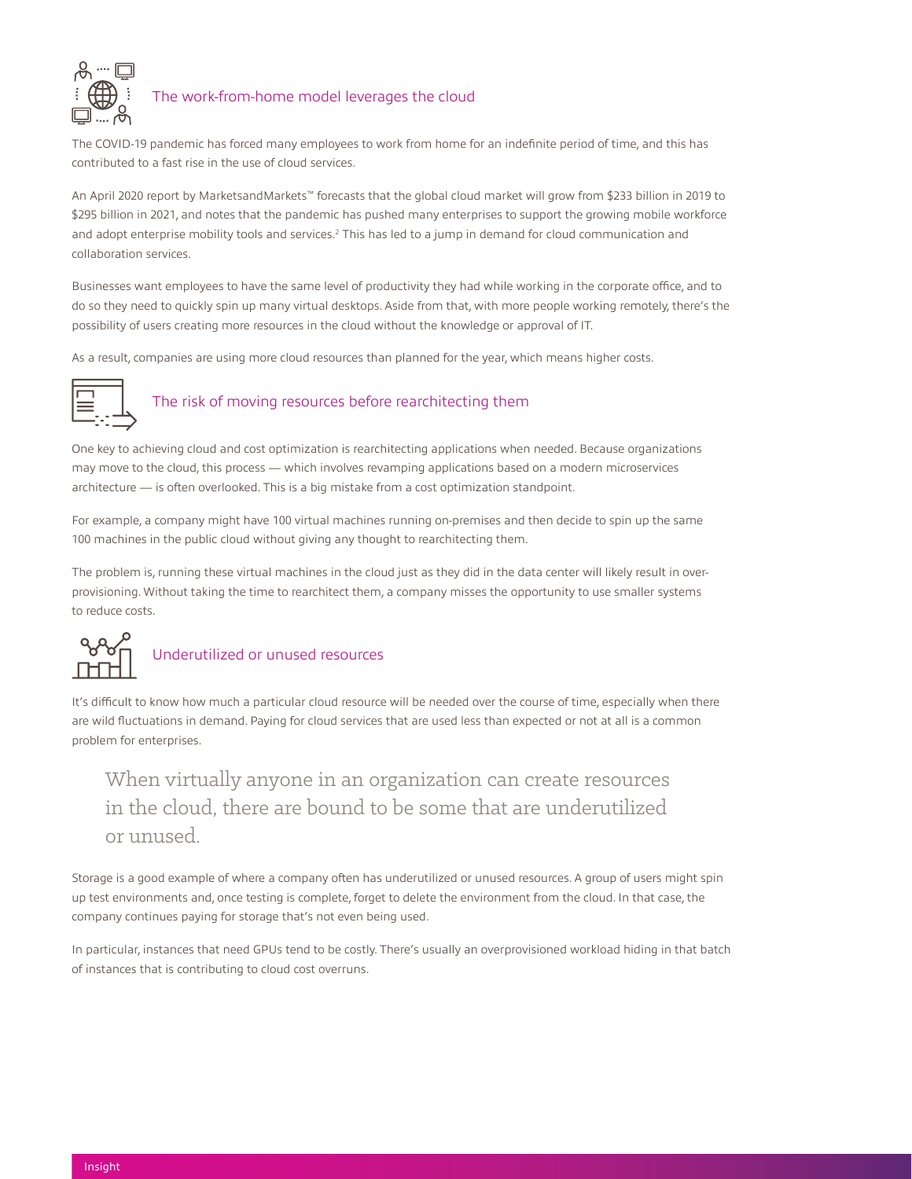

#### The work-from-home model leverages the cloud

The COVID-19 pandemic has forced many employees to work from home for an indefinite period of time, and this has contributed to a fast rise in the use of cloud services.

An April 2020 report by MarketsandMarkets™ forecasts that the global cloud market will grow from \$233 billion in 2019 to \$295 billion in 2021, and notes that the pandemic has pushed many enterprises to support the growing mobile workforce and adopt enterprise mobility tools and services.<sup>2</sup> This has led to a jump in demand for cloud communication and collaboration services.

Businesses want employees to have the same level of productivity they had while working in the corporate office, and to do so they need to quickly spin up many virtual desktops. Aside from that, with more people working remotely, there's the possibility of users creating more resources in the cloud without the knowledge or approval of IT.

As a result, companies are using more cloud resources than planned for the year, which means higher costs.



#### The risk of moving resources before rearchitecting them

One key to achieving cloud and cost optimization is rearchitecting applications when needed. Because organizations may move to the cloud, this process — which involves revamping applications based on a modern microservices architecture — is often overlooked. This is a big mistake from a cost optimization standpoint.

For example, a company might have 100 virtual machines running on-premises and then decide to spin up the same 100 machines in the public cloud without giving any thought to rearchitecting them.

The problem is, running these virtual machines in the cloud just as they did in the data center will likely result in overprovisioning. Without taking the time to rearchitect them, a company misses the opportunity to use smaller systems to reduce costs.



It's difficult to know how much a particular cloud resource will be needed over the course of time, especially when there are wild fluctuations in demand. Paying for cloud services that are used less than expected or not at all is a common problem for enterprises.

# When virtually anyone in an organization can create resources in the cloud, there are bound to be some that are underutilized or unused.

Storage is a good example of where a company often has underutilized or unused resources. A group of users might spin up test environments and, once testing is complete, forget to delete the environment from the cloud. In that case, the company continues paying for storage that's not even being used.

In particular, instances that need GPUs tend to be costly. There's usually an overprovisioned workload hiding in that batch of instances that is contributing to cloud cost overruns.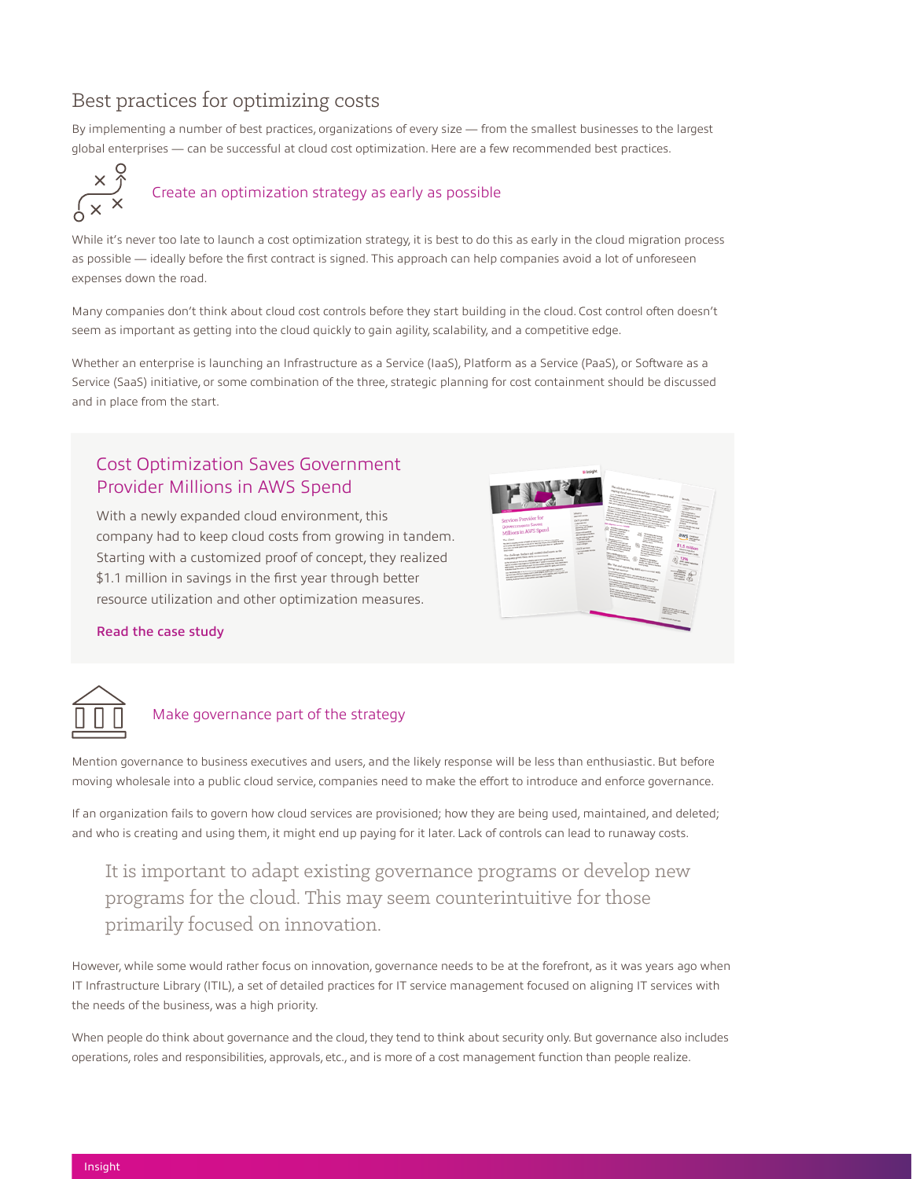## Best practices for optimizing costs

By implementing a number of best practices, organizations of every size — from the smallest businesses to the largest global enterprises — can be successful at cloud cost optimization. Here are a few recommended best practices.



While it's never too late to launch a cost optimization strategy, it is best to do this as early in the cloud migration process as possible — ideally before the first contract is signed. This approach can help companies avoid a lot of unforeseen expenses down the road.

Many companies don't think about cloud cost controls before they start building in the cloud. Cost control often doesn't seem as important as getting into the cloud quickly to gain agility, scalability, and a competitive edge.

Whether an enterprise is launching an Infrastructure as a Service (IaaS), Platform as a Service (PaaS), or Software as a Service (SaaS) initiative, or some combination of the three, strategic planning for cost containment should be discussed and in place from the start.

#### Cost Optimization Saves Government Provider Millions in AWS Spend

With a newly expanded cloud environment, this company had to keep cloud costs from growing in tandem. Starting with a customized proof of concept, they realized \$1.1 million in savings in the first year through better resource utilization and other optimization measures.



Read the case study



#### Make governance part of the strategy

Mention governance to business executives and users, and the likely response will be less than enthusiastic. But before moving wholesale into a public cloud service, companies need to make the effort to introduce and enforce governance.

If an organization fails to govern how cloud services are provisioned; how they are being used, maintained, and deleted; and who is creating and using them, it might end up paying for it later. Lack of controls can lead to runaway costs.

## It is important to adapt existing governance programs or develop new programs for the cloud. This may seem counterintuitive for those primarily focused on innovation.

However, while some would rather focus on innovation, governance needs to be at the forefront, as it was years ago when IT Infrastructure Library (ITIL), a set of detailed practices for IT service management focused on aligning IT services with the needs of the business, was a high priority.

When people do think about governance and the cloud, they tend to think about security only. But governance also includes operations, roles and responsibilities, approvals, etc., and is more of a cost management function than people realize.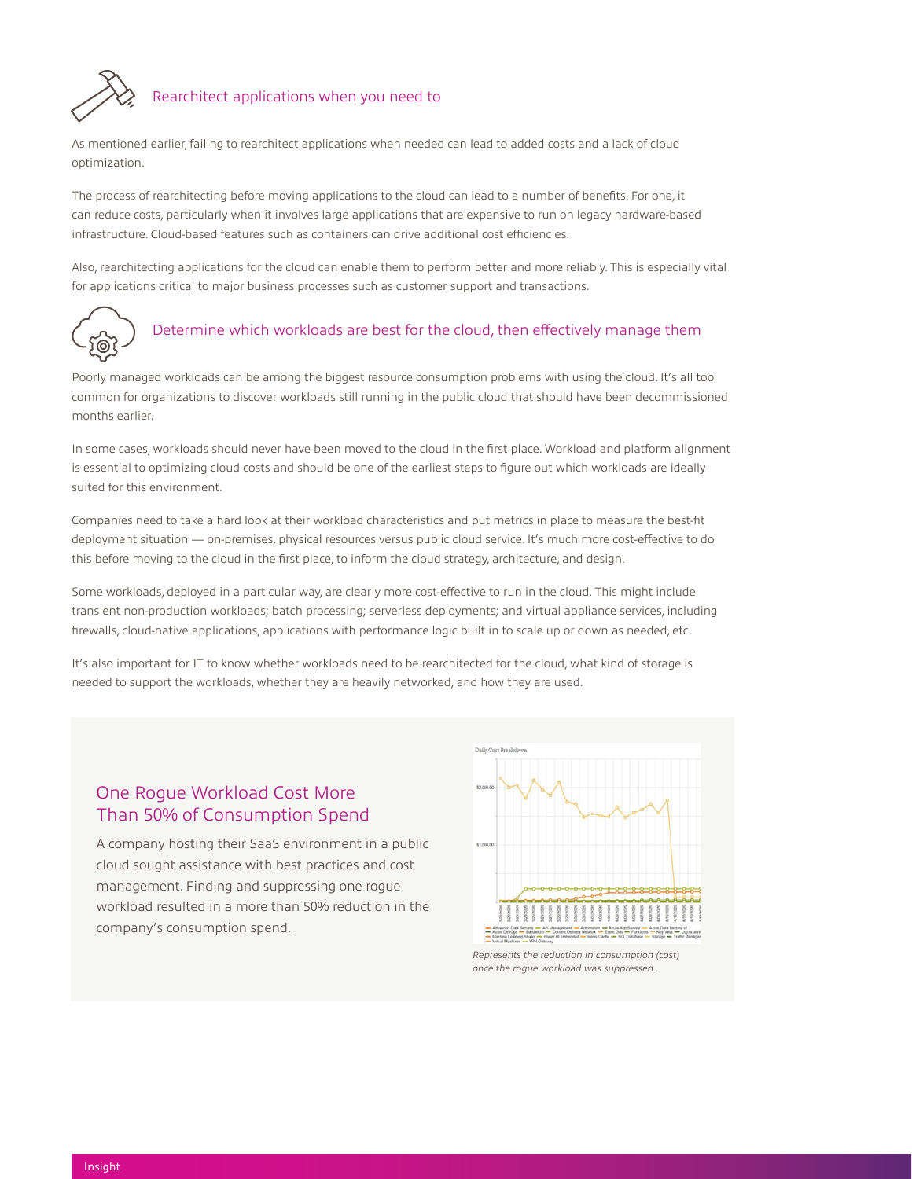

#### Rearchitect applications when you need to

As mentioned earlier, failing to rearchitect applications when needed can lead to added costs and a lack of cloud optimization.

The process of rearchitecting before moving applications to the cloud can lead to a number of benefits. For one, it can reduce costs, particularly when it involves large applications that are expensive to run on legacy hardware-based infrastructure. Cloud-based features such as containers can drive additional cost efficiencies.

Also, rearchitecting applications for the cloud can enable them to perform better and more reliably. This is especially vital for applications critical to major business processes such as customer support and transactions.



#### Determine which workloads are best for the cloud, then effectively manage them

Poorly managed workloads can be among the biggest resource consumption problems with using the cloud. It's all too common for organizations to discover workloads still running in the public cloud that should have been decommissioned months earlier.

In some cases, workloads should never have been moved to the cloud in the first place. Workload and platform alignment is essential to optimizing cloud costs and should be one of the earliest steps to figure out which workloads are ideally suited for this environment.

Companies need to take a hard look at their workload characteristics and put metrics in place to measure the best-fit deployment situation — on-premises, physical resources versus public cloud service. It's much more cost-effective to do this before moving to the cloud in the first place, to inform the cloud strategy, architecture, and design.

Some workloads, deployed in a particular way, are clearly more cost-effective to run in the cloud. This might include transient non-production workloads; batch processing; serverless deployments; and virtual appliance services, including firewalls, cloud-native applications, applications with performance logic built in to scale up or down as needed, etc.

It's also important for IT to know whether workloads need to be rearchitected for the cloud, what kind of storage is needed to support the workloads, whether they are heavily networked, and how they are used.

#### One Rogue Workload Cost More Than 50% of Consumption Spend

A company hosting their SaaS environment in a public cloud sought assistance with best practices and cost management. Finding and suppressing one rogue workload resulted in a more than 50% reduction in the company's consumption spend.



*once the rogue workload was suppressed.*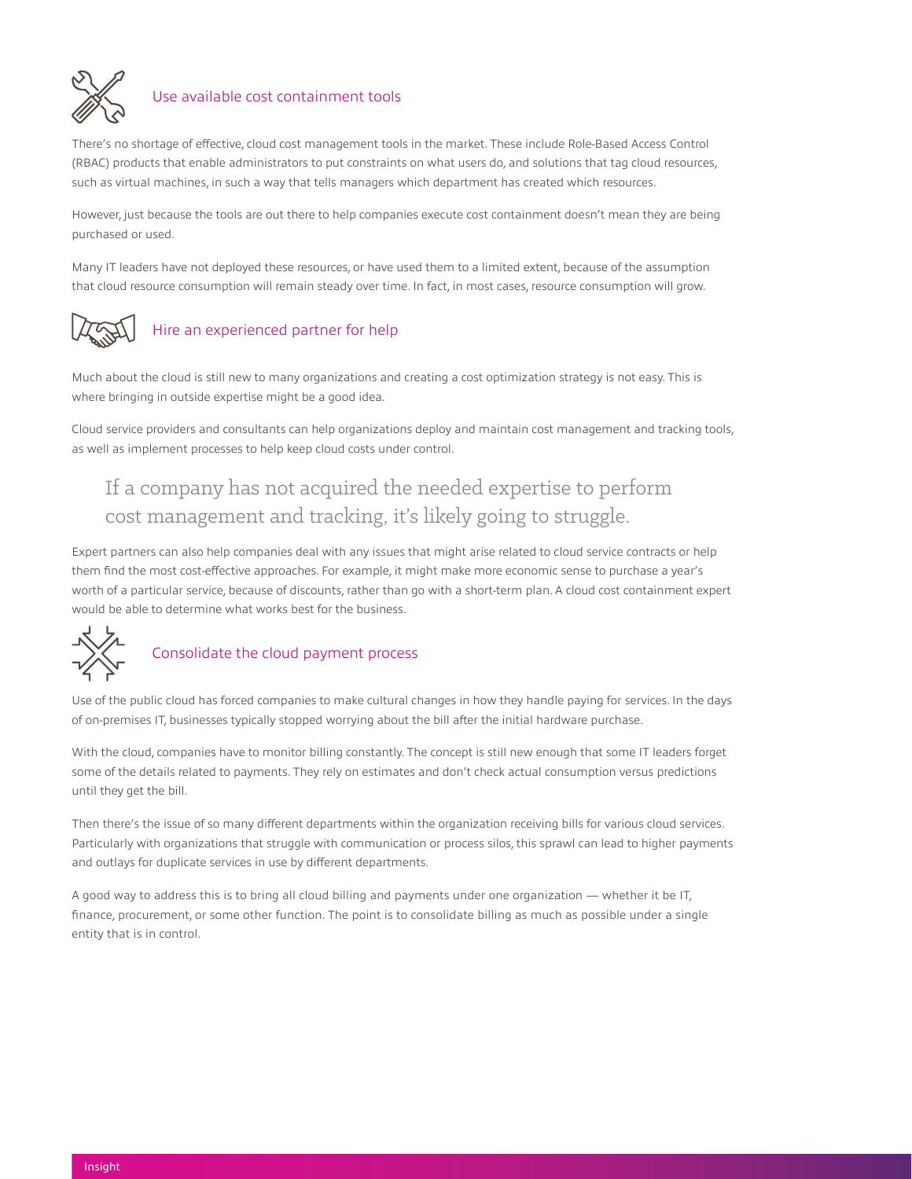

#### Use available cost containment tools

There's no shortage of effective, cloud cost management tools in the market. These include Role-Based Access Control (RBAC) products that enable administrators to put constraints on what users do, and solutions that tag cloud resources, such as virtual machines, in such a way that tells managers which department has created which resources.

However, just because the tools are out there to help companies execute cost containment doesn't mean they are being purchased or used.

Many IT leaders have not deployed these resources, or have used them to a limited extent, because of the assumption that cloud resource consumption will remain steady over time. In fact, in most cases, resource consumption will grow.



#### Hire an experienced partner for help

Much about the cloud is still new to many organizations and creating a cost optimization strategy is not easy. This is where bringing in outside expertise might be a good idea.

Cloud service providers and consultants can help organizations deploy and maintain cost management and tracking tools, as well as implement processes to help keep cloud costs under control.

# If a company has not acquired the needed expertise to perform cost management and tracking, it's likely going to struggle.

Expert partners can also help companies deal with any issues that might arise related to cloud service contracts or help them find the most cost-effective approaches. For example, it might make more economic sense to purchase a year's worth of a particular service, because of discounts, rather than go with a short-term plan. A cloud cost containment expert would be able to determine what works best for the business.



### Consolidate the cloud payment process

Use of the public cloud has forced companies to make cultural changes in how they handle paying for services. In the days of on-premises IT, businesses typically stopped worrying about the bill after the initial hardware purchase.

With the cloud, companies have to monitor billing constantly. The concept is still new enough that some IT leaders forget some of the details related to payments. They rely on estimates and don't check actual consumption versus predictions until they get the bill.

Then there's the issue of so many different departments within the organization receiving bills for various cloud services. Particularly with organizations that struggle with communication or process silos, this sprawl can lead to higher payments and outlays for duplicate services in use by different departments.

A good way to address this is to bring all cloud billing and payments under one organization — whether it be IT, finance, procurement, or some other function. The point is to consolidate billing as much as possible under a single entity that is in control.